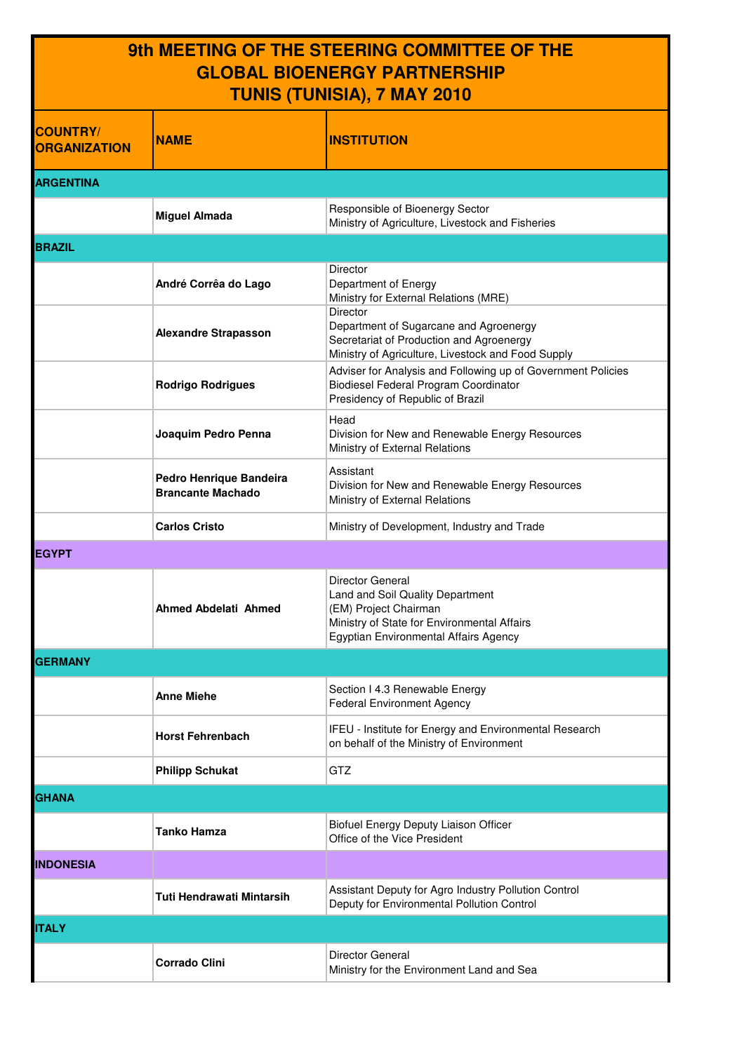## **9th MEETING OF THE STEERING COMMITTEE OF THE GLOBAL BIOENERGY PARTNERSHIP TUNIS (TUNISIA), 7 MAY 2010**

| <b>COUNTRY/</b><br><b>ORGANIZATION</b> | <b>NAME</b>                                         | <b>INSTITUTION</b>                                                                                                                                                    |
|----------------------------------------|-----------------------------------------------------|-----------------------------------------------------------------------------------------------------------------------------------------------------------------------|
| <b>ARGENTINA</b>                       |                                                     |                                                                                                                                                                       |
|                                        | <b>Miguel Almada</b>                                | Responsible of Bioenergy Sector<br>Ministry of Agriculture, Livestock and Fisheries                                                                                   |
| <b>BRAZIL</b>                          |                                                     |                                                                                                                                                                       |
|                                        | André Corrêa do Lago                                | Director<br>Department of Energy<br>Ministry for External Relations (MRE)                                                                                             |
|                                        | <b>Alexandre Strapasson</b>                         | Director<br>Department of Sugarcane and Agroenergy<br>Secretariat of Production and Agroenergy<br>Ministry of Agriculture, Livestock and Food Supply                  |
|                                        | <b>Rodrigo Rodrigues</b>                            | Adviser for Analysis and Following up of Government Policies<br>Biodiesel Federal Program Coordinator<br>Presidency of Republic of Brazil                             |
|                                        | Joaquim Pedro Penna                                 | Head<br>Division for New and Renewable Energy Resources<br>Ministry of External Relations                                                                             |
|                                        | Pedro Henrique Bandeira<br><b>Brancante Machado</b> | Assistant<br>Division for New and Renewable Energy Resources<br>Ministry of External Relations                                                                        |
|                                        | <b>Carlos Cristo</b>                                | Ministry of Development, Industry and Trade                                                                                                                           |
| <b>EGYPT</b>                           |                                                     |                                                                                                                                                                       |
|                                        | <b>Ahmed Abdelati Ahmed</b>                         | Director General<br>Land and Soil Quality Department<br>(EM) Project Chairman<br>Ministry of State for Environmental Affairs<br>Egyptian Environmental Affairs Agency |
| <b>GERMANY</b>                         |                                                     |                                                                                                                                                                       |
|                                        | <b>Anne Miehe</b>                                   | Section I 4.3 Renewable Energy<br><b>Federal Environment Agency</b>                                                                                                   |
|                                        | <b>Horst Fehrenbach</b>                             | IFEU - Institute for Energy and Environmental Research<br>on behalf of the Ministry of Environment                                                                    |
|                                        | <b>Philipp Schukat</b>                              | GTZ                                                                                                                                                                   |
| <b>GHANA</b>                           |                                                     |                                                                                                                                                                       |
|                                        | <b>Tanko Hamza</b>                                  | Biofuel Energy Deputy Liaison Officer<br>Office of the Vice President                                                                                                 |
| <b>INDONESIA</b>                       |                                                     |                                                                                                                                                                       |
|                                        | Tuti Hendrawati Mintarsih                           | Assistant Deputy for Agro Industry Pollution Control<br>Deputy for Environmental Pollution Control                                                                    |
| <b>ITALY</b>                           |                                                     |                                                                                                                                                                       |
|                                        | <b>Corrado Clini</b>                                | Director General<br>Ministry for the Environment Land and Sea                                                                                                         |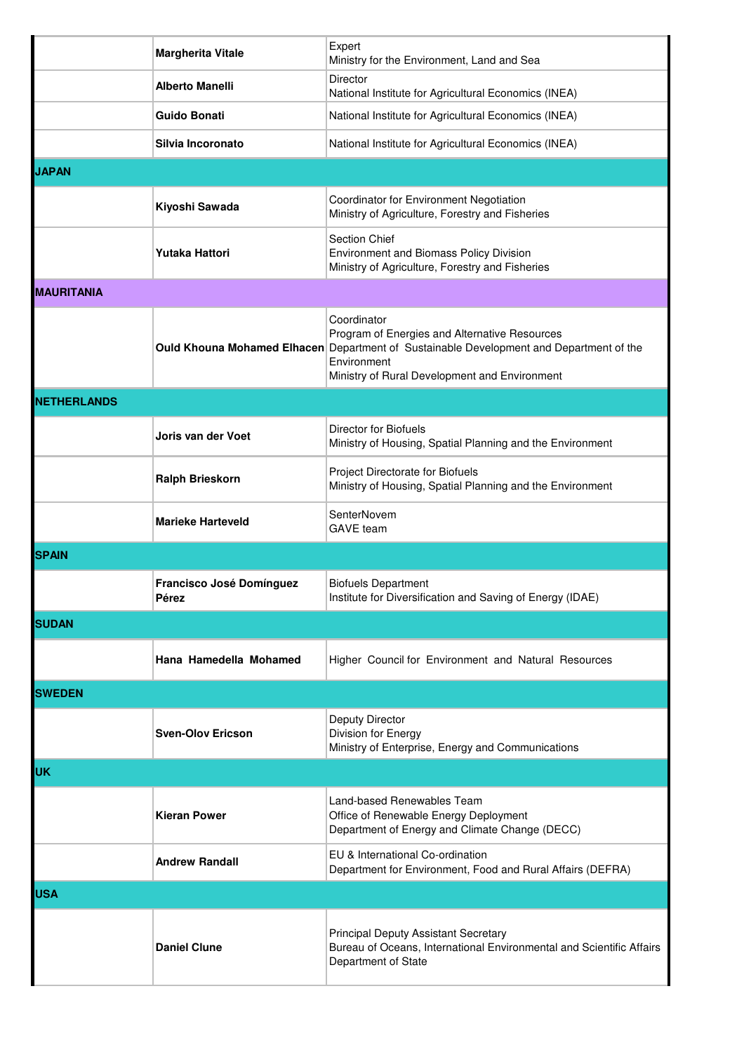|                    | <b>Margherita Vitale</b>                 | Expert<br>Ministry for the Environment, Land and Sea                                                                                                                                                                           |  |  |
|--------------------|------------------------------------------|--------------------------------------------------------------------------------------------------------------------------------------------------------------------------------------------------------------------------------|--|--|
|                    | <b>Alberto Manelli</b>                   | Director<br>National Institute for Agricultural Economics (INEA)                                                                                                                                                               |  |  |
|                    | Guido Bonati                             | National Institute for Agricultural Economics (INEA)                                                                                                                                                                           |  |  |
|                    | Silvia Incoronato                        | National Institute for Agricultural Economics (INEA)                                                                                                                                                                           |  |  |
| <b>JAPAN</b>       |                                          |                                                                                                                                                                                                                                |  |  |
|                    | Kiyoshi Sawada                           | Coordinator for Environment Negotiation<br>Ministry of Agriculture, Forestry and Fisheries                                                                                                                                     |  |  |
|                    | <b>Yutaka Hattori</b>                    | Section Chief<br><b>Environment and Biomass Policy Division</b><br>Ministry of Agriculture, Forestry and Fisheries                                                                                                             |  |  |
| <b>MAURITANIA</b>  |                                          |                                                                                                                                                                                                                                |  |  |
|                    |                                          | Coordinator<br>Program of Energies and Alternative Resources<br><b>Ould Khouna Mohamed Elhacen</b> Department of Sustainable Development and Department of the<br>Environment<br>Ministry of Rural Development and Environment |  |  |
| <b>NETHERLANDS</b> |                                          |                                                                                                                                                                                                                                |  |  |
|                    | Joris van der Voet                       | Director for Biofuels<br>Ministry of Housing, Spatial Planning and the Environment                                                                                                                                             |  |  |
|                    | <b>Ralph Brieskorn</b>                   | Project Directorate for Biofuels<br>Ministry of Housing, Spatial Planning and the Environment                                                                                                                                  |  |  |
|                    | <b>Marieke Harteveld</b>                 | SenterNovem<br><b>GAVE</b> team                                                                                                                                                                                                |  |  |
| <b>SPAIN</b>       |                                          |                                                                                                                                                                                                                                |  |  |
|                    | <b>Francisco José Domínguez</b><br>Perez | <b>Biofuels Department</b><br>Institute for Diversification and Saving of Energy (IDAE)                                                                                                                                        |  |  |
| <b>SUDAN</b>       |                                          |                                                                                                                                                                                                                                |  |  |
|                    | Hana Hamedella Mohamed                   | Higher Council for Environment and Natural Resources                                                                                                                                                                           |  |  |
| <b>SWEDEN</b>      |                                          |                                                                                                                                                                                                                                |  |  |
|                    | <b>Sven-Olov Ericson</b>                 | Deputy Director<br>Division for Energy<br>Ministry of Enterprise, Energy and Communications                                                                                                                                    |  |  |
| <b>UK</b>          |                                          |                                                                                                                                                                                                                                |  |  |
|                    | <b>Kieran Power</b>                      | Land-based Renewables Team<br>Office of Renewable Energy Deployment<br>Department of Energy and Climate Change (DECC)                                                                                                          |  |  |
|                    | <b>Andrew Randall</b>                    | EU & International Co-ordination<br>Department for Environment, Food and Rural Affairs (DEFRA)                                                                                                                                 |  |  |
| <b>USA</b>         |                                          |                                                                                                                                                                                                                                |  |  |
|                    | <b>Daniel Clune</b>                      | <b>Principal Deputy Assistant Secretary</b><br>Bureau of Oceans, International Environmental and Scientific Affairs<br>Department of State                                                                                     |  |  |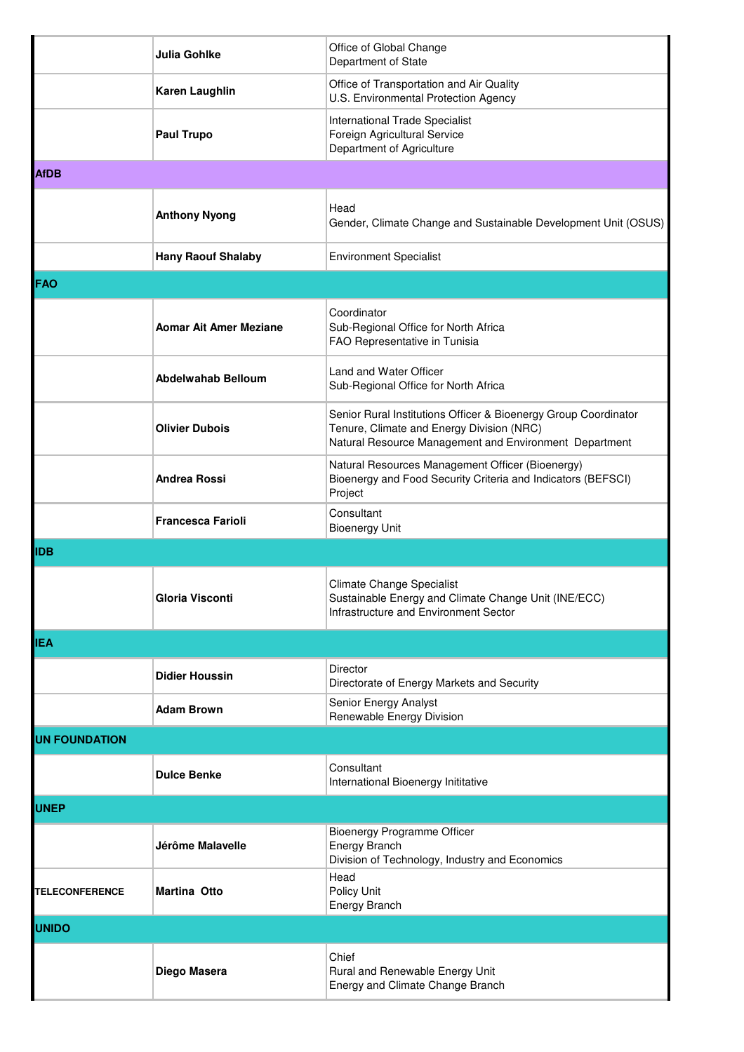|                       | <b>Julia Gohlke</b>           | Office of Global Change<br>Department of State                                                                                                                         |  |  |
|-----------------------|-------------------------------|------------------------------------------------------------------------------------------------------------------------------------------------------------------------|--|--|
|                       | <b>Karen Laughlin</b>         | Office of Transportation and Air Quality<br>U.S. Environmental Protection Agency                                                                                       |  |  |
|                       | <b>Paul Trupo</b>             | International Trade Specialist<br>Foreign Agricultural Service<br>Department of Agriculture                                                                            |  |  |
| <b>AfDB</b>           |                               |                                                                                                                                                                        |  |  |
|                       | <b>Anthony Nyong</b>          | Head<br>Gender, Climate Change and Sustainable Development Unit (OSUS)                                                                                                 |  |  |
|                       | <b>Hany Raouf Shalaby</b>     | <b>Environment Specialist</b>                                                                                                                                          |  |  |
| <b>FAO</b>            |                               |                                                                                                                                                                        |  |  |
|                       | <b>Aomar Ait Amer Meziane</b> | Coordinator<br>Sub-Regional Office for North Africa<br>FAO Representative in Tunisia                                                                                   |  |  |
|                       | Abdelwahab Belloum            | Land and Water Officer<br>Sub-Regional Office for North Africa                                                                                                         |  |  |
|                       | <b>Olivier Dubois</b>         | Senior Rural Institutions Officer & Bioenergy Group Coordinator<br>Tenure, Climate and Energy Division (NRC)<br>Natural Resource Management and Environment Department |  |  |
|                       | <b>Andrea Rossi</b>           | Natural Resources Management Officer (Bioenergy)<br>Bioenergy and Food Security Criteria and Indicators (BEFSCI)<br>Project                                            |  |  |
|                       | <b>Francesca Farioli</b>      | Consultant<br><b>Bioenergy Unit</b>                                                                                                                                    |  |  |
| <b>IDB</b>            |                               |                                                                                                                                                                        |  |  |
|                       | Gloria Visconti               | Climate Change Specialist<br>Sustainable Energy and Climate Change Unit (INE/ECC)<br>Infrastructure and Environment Sector                                             |  |  |
| <b>IEA</b>            |                               |                                                                                                                                                                        |  |  |
|                       | <b>Didier Houssin</b>         | Director<br>Directorate of Energy Markets and Security                                                                                                                 |  |  |
|                       | <b>Adam Brown</b>             | Senior Energy Analyst<br>Renewable Energy Division                                                                                                                     |  |  |
| <b>UN FOUNDATION</b>  |                               |                                                                                                                                                                        |  |  |
|                       | <b>Dulce Benke</b>            | Consultant<br>International Bioenergy Inititative                                                                                                                      |  |  |
| <b>UNEP</b>           |                               |                                                                                                                                                                        |  |  |
|                       | Jérôme Malavelle              | Bioenergy Programme Officer<br>Energy Branch<br>Division of Technology, Industry and Economics                                                                         |  |  |
| <b>TELECONFERENCE</b> | <b>Martina Otto</b>           | Head<br>Policy Unit<br><b>Energy Branch</b>                                                                                                                            |  |  |
| <b>UNIDO</b>          |                               |                                                                                                                                                                        |  |  |
|                       | Diego Masera                  | Chief<br>Rural and Renewable Energy Unit<br>Energy and Climate Change Branch                                                                                           |  |  |